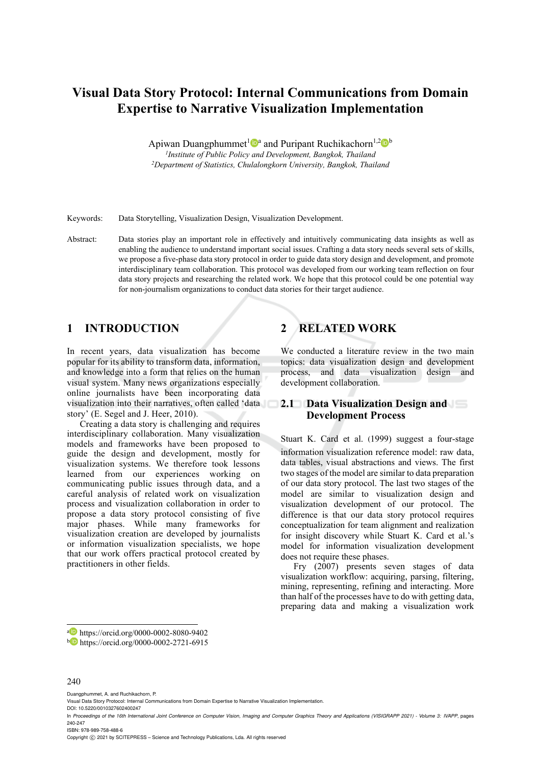# **Visual Data Story Protocol: Internal Communications from Domain Expertise to Narrative Visualization Implementation**

Apiwan Duangphummet<sup>1</sup>  $\mathbb{D}^a$  and Puripant Ruchikachorn<sup>1,2</sup>  $\mathbb{D}^b$ <br><sup>1</sup>Institute of Public Policy and Development, Bangkok, Thailand *1Institute of Public Policy and Development, Bangkok, Thailand 2Department of Statistics, Chulalongkorn University, Bangkok, Thailand*

Keywords: Data Storytelling, Visualization Design, Visualization Development.

Abstract: Data stories play an important role in effectively and intuitively communicating data insights as well as enabling the audience to understand important social issues. Crafting a data story needs several sets of skills, we propose a five-phase data story protocol in order to guide data story design and development, and promote interdisciplinary team collaboration. This protocol was developed from our working team reflection on four data story projects and researching the related work. We hope that this protocol could be one potential way for non-journalism organizations to conduct data stories for their target audience.

## **1 INTRODUCTION**

In recent years, data visualization has become popular for its ability to transform data, information, and knowledge into a form that relies on the human visual system. Many news organizations especially online journalists have been incorporating data visualization into their narratives, often called 'data story' (E. Segel and J. Heer, 2010).

Creating a data story is challenging and requires interdisciplinary collaboration. Many visualization models and frameworks have been proposed to guide the design and development, mostly for visualization systems. We therefore took lessons learned from our experiences working on communicating public issues through data, and a careful analysis of related work on visualization process and visualization collaboration in order to propose a data story protocol consisting of five major phases. While many frameworks for visualization creation are developed by journalists or information visualization specialists, we hope that our work offers practical protocol created by practitioners in other fields.

# **2 RELATED WORK**

We conducted a literature review in the two main topics: data visualization design and development process, and data visualization design and development collaboration.

## **2.1 Data Visualization Design and Development Process**

Stuart K. Card et al. (1999) suggest a four-stage information visualization reference model: raw data, data tables, visual abstractions and views. The first two stages of the model are similar to data preparation of our data story protocol. The last two stages of the model are similar to visualization design and visualization development of our protocol. The difference is that our data story protocol requires conceptualization for team alignment and realization for insight discovery while Stuart K. Card et al.'s model for information visualization development does not require these phases.

Fry (2007) presents seven stages of data visualization workflow: acquiring, parsing, filtering, mining, representing, refining and interacting. More than half of the processes have to do with getting data, preparing data and making a visualization work

a https://orcid.org/0000-0002-8080-9402<br>b https://orcid.org/0000-0002-2721-6915

#### 240

Duangphummet, A. and Ruchikachorn, P.

Visual Data Story Protocol: Internal Communications from Domain Expertise to Narrative Visualization Implementation.

DOI: 10.5220/0010327602400247

In *Proceedings of the 16th International Joint Conference on Computer Vision, Imaging and Computer Graphics Theory and Applications (VISIGRAPP 2021) - Volume 3: IVAPP*, pages 240-247

ISBN: 978-989-758-488-6

Copyright  $\circled{c}$  2021 by SCITEPRESS – Science and Technology Publications, Lda. All rights reserved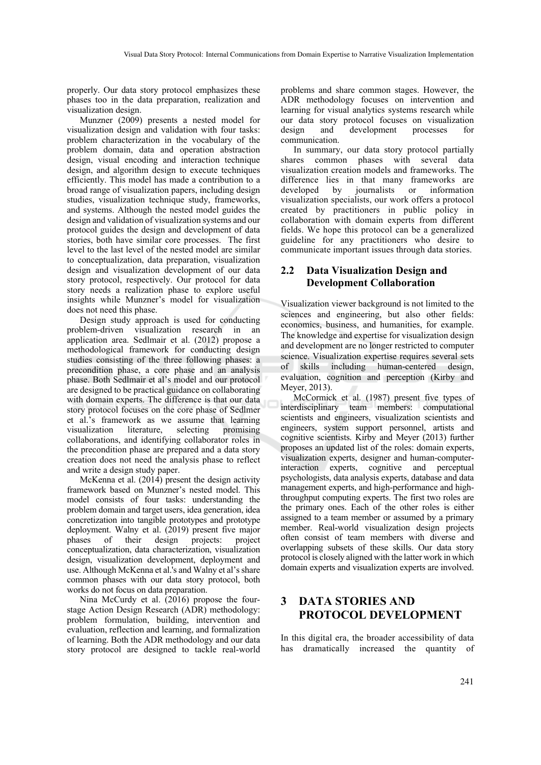properly. Our data story protocol emphasizes these phases too in the data preparation, realization and visualization design.

Munzner (2009) presents a nested model for visualization design and validation with four tasks: problem characterization in the vocabulary of the problem domain, data and operation abstraction design, visual encoding and interaction technique design, and algorithm design to execute techniques efficiently. This model has made a contribution to a broad range of visualization papers, including design studies, visualization technique study, frameworks, and systems. Although the nested model guides the design and validation of visualization systems and our protocol guides the design and development of data stories, both have similar core processes. The first level to the last level of the nested model are similar to conceptualization, data preparation, visualization design and visualization development of our data story protocol, respectively. Our protocol for data story needs a realization phase to explore useful insights while Munzner's model for visualization does not need this phase.

Design study approach is used for conducting problem-driven visualization research in an application area. Sedlmair et al. (2012) propose a methodological framework for conducting design studies consisting of the three following phases: a precondition phase, a core phase and an analysis phase. Both Sedlmair et al's model and our protocol are designed to be practical guidance on collaborating with domain experts. The difference is that our data story protocol focuses on the core phase of Sedlmer et al.'s framework as we assume that learning visualization literature, selecting promising collaborations, and identifying collaborator roles in the precondition phase are prepared and a data story creation does not need the analysis phase to reflect and write a design study paper.

McKenna et al. (2014) present the design activity framework based on Munzner's nested model. This model consists of four tasks: understanding the problem domain and target users, idea generation, idea concretization into tangible prototypes and prototype deployment. Walny et al. (2019) present five major phases of their design projects: project conceptualization, data characterization, visualization design, visualization development, deployment and use. Although McKenna et al.'s and Walny et al's share common phases with our data story protocol, both works do not focus on data preparation.

Nina McCurdy et al. (2016) propose the fourstage Action Design Research (ADR) methodology: problem formulation, building, intervention and evaluation, reflection and learning, and formalization of learning. Both the ADR methodology and our data story protocol are designed to tackle real-world problems and share common stages. However, the ADR methodology focuses on intervention and learning for visual analytics systems research while our data story protocol focuses on visualization design and development processes for communication.

In summary, our data story protocol partially shares common phases with several data visualization creation models and frameworks. The difference lies in that many frameworks are developed by journalists or information visualization specialists, our work offers a protocol created by practitioners in public policy in collaboration with domain experts from different fields. We hope this protocol can be a generalized guideline for any practitioners who desire to communicate important issues through data stories.

## **2.2 Data Visualization Design and Development Collaboration**

Visualization viewer background is not limited to the sciences and engineering, but also other fields: economics, business, and humanities, for example. The knowledge and expertise for visualization design and development are no longer restricted to computer science. Visualization expertise requires several sets of skills including human-centered design, evaluation, cognition and perception (Kirby and Meyer, 2013).

McCormick et al. (1987) present five types of interdisciplinary team members: computational scientists and engineers, visualization scientists and engineers, system support personnel, artists and cognitive scientists. Kirby and Meyer (2013) further proposes an updated list of the roles: domain experts, visualization experts, designer and human-computerinteraction experts, cognitive and perceptual psychologists, data analysis experts, database and data management experts, and high-performance and highthroughput computing experts. The first two roles are the primary ones. Each of the other roles is either assigned to a team member or assumed by a primary member. Real-world visualization design projects often consist of team members with diverse and overlapping subsets of these skills. Our data story protocol is closely aligned with the latter work in which domain experts and visualization experts are involved.

## **3 DATA STORIES AND PROTOCOL DEVELOPMENT**

In this digital era, the broader accessibility of data has dramatically increased the quantity of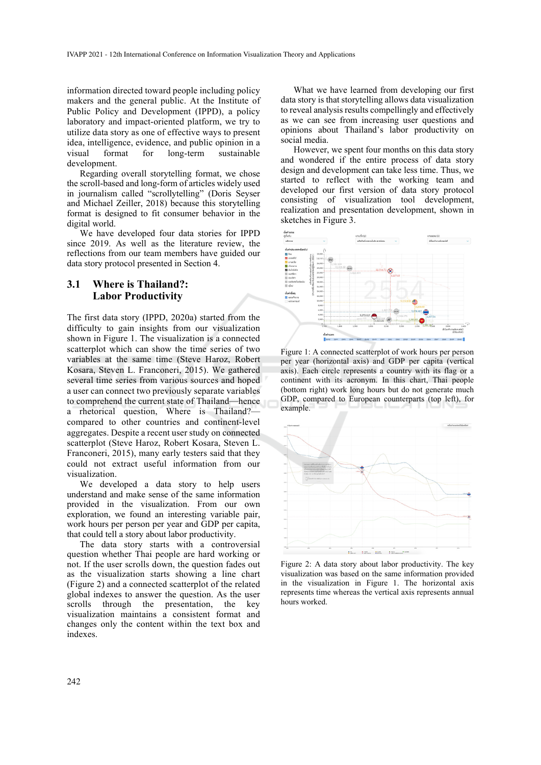information directed toward people including policy makers and the general public. At the Institute of Public Policy and Development (IPPD), a policy laboratory and impact-oriented platform, we try to utilize data story as one of effective ways to present idea, intelligence, evidence, and public opinion in a visual format for long-term sustainable development.

Regarding overall storytelling format, we chose the scroll-based and long-form of articles widely used in journalism called "scrollytelling" (Doris Seyser and Michael Zeiller, 2018) because this storytelling format is designed to fit consumer behavior in the digital world.

We have developed four data stories for IPPD since 2019. As well as the literature review, the reflections from our team members have guided our data story protocol presented in Section 4.

## **3.1 Where is Thailand?: Labor Productivity**

The first data story (IPPD, 2020a) started from the difficulty to gain insights from our visualization shown in Figure 1. The visualization is a connected scatterplot which can show the time series of two variables at the same time (Steve Haroz, Robert Kosara, Steven L. Franconeri, 2015). We gathered several time series from various sources and hoped a user can connect two previously separate variables to comprehend the current state of Thailand—hence a rhetorical question, Where is Thailand? compared to other countries and continent-level aggregates. Despite a recent user study on connected scatterplot (Steve Haroz, Robert Kosara, Steven L. Franconeri, 2015), many early testers said that they could not extract useful information from our visualization.

We developed a data story to help users understand and make sense of the same information provided in the visualization. From our own exploration, we found an interesting variable pair, work hours per person per year and GDP per capita, that could tell a story about labor productivity.

The data story starts with a controversial question whether Thai people are hard working or not. If the user scrolls down, the question fades out as the visualization starts showing a line chart (Figure 2) and a connected scatterplot of the related global indexes to answer the question. As the user scrolls through the presentation, the key visualization maintains a consistent format and changes only the content within the text box and indexes.

What we have learned from developing our first data story is that storytelling allows data visualization to reveal analysis results compellingly and effectively as we can see from increasing user questions and opinions about Thailand's labor productivity on social media.

However, we spent four months on this data story and wondered if the entire process of data story design and development can take less time. Thus, we started to reflect with the working team and developed our first version of data story protocol consisting of visualization tool development, realization and presentation development, shown in sketches in Figure 3.



Figure 1: A connected scatterplot of work hours per person per year (horizontal axis) and GDP per capita (vertical axis). Each circle represents a country with its flag or a continent with its acronym. In this chart, Thai people (bottom right) work long hours but do not generate much GDP, compared to European counterparts (top left), for example.



Figure 2: A data story about labor productivity. The key visualization was based on the same information provided in the visualization in Figure 1. The horizontal axis represents time whereas the vertical axis represents annual hours worked.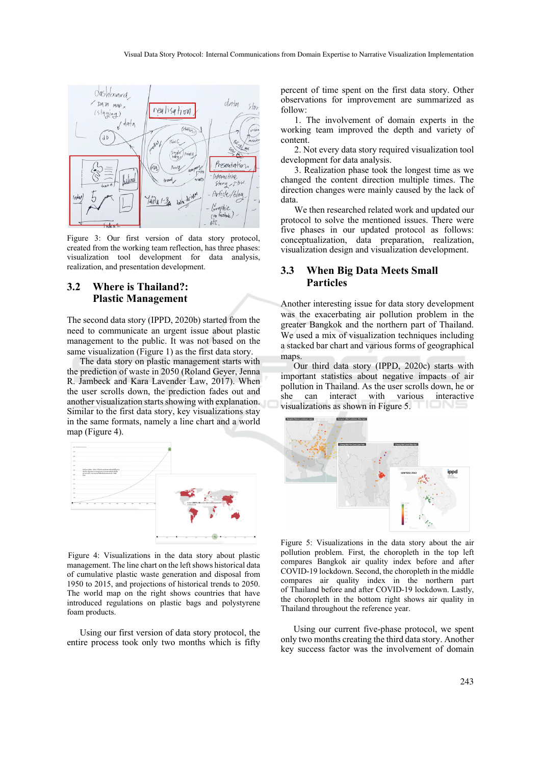

Figure 3: Our first version of data story protocol, created from the working team reflection, has three phases: visualization tool development for data analysis, realization, and presentation development.

## **3.2 Where is Thailand?: Plastic Management**

The second data story (IPPD, 2020b) started from the need to communicate an urgent issue about plastic management to the public. It was not based on the same visualization (Figure 1) as the first data story.

The data story on plastic management starts with the prediction of waste in 2050 (Roland Geyer, Jenna R. Jambeck and Kara Lavender Law, 2017). When the user scrolls down, the prediction fades out and another visualization starts showing with explanation. Similar to the first data story, key visualizations stay in the same formats, namely a line chart and a world map (Figure 4).



Figure 4: Visualizations in the data story about plastic management. The line chart on the left shows historical data of cumulative plastic waste generation and disposal from 1950 to 2015, and projections of historical trends to 2050. The world map on the right shows countries that have introduced regulations on plastic bags and polystyrene foam products.

Using our first version of data story protocol, the entire process took only two months which is fifty

percent of time spent on the first data story. Other observations for improvement are summarized as follow:

1. The involvement of domain experts in the working team improved the depth and variety of content.

2. Not every data story required visualization tool development for data analysis.

3. Realization phase took the longest time as we changed the content direction multiple times. The direction changes were mainly caused by the lack of data.

We then researched related work and updated our protocol to solve the mentioned issues. There were five phases in our updated protocol as follows: conceptualization, data preparation, realization, visualization design and visualization development.

#### **3.3 When Big Data Meets Small Particles**

Another interesting issue for data story development was the exacerbating air pollution problem in the greater Bangkok and the northern part of Thailand. We used a mix of visualization techniques including a stacked bar chart and various forms of geographical maps.

Our third data story (IPPD, 2020c) starts with important statistics about negative impacts of air pollution in Thailand. As the user scrolls down, he or she can interact with various interactive visualizations as shown in Figure 5.



Figure 5: Visualizations in the data story about the air pollution problem. First, the choropleth in the top left compares Bangkok air quality index before and after COVID-19 lockdown. Second, the choropleth in the middle compares air quality index in the northern part of Thailand before and after COVID-19 lockdown. Lastly, the choropleth in the bottom right shows air quality in Thailand throughout the reference year.

Using our current five-phase protocol, we spent only two months creating the third data story. Another key success factor was the involvement of domain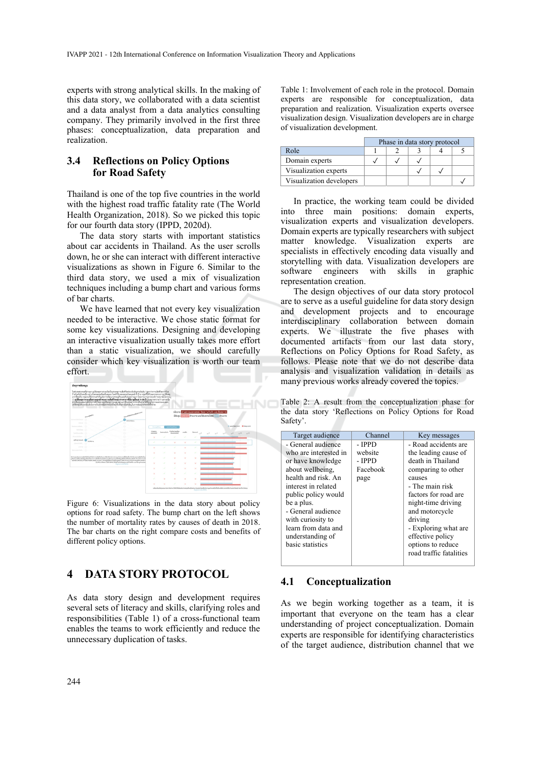experts with strong analytical skills. In the making of this data story, we collaborated with a data scientist and a data analyst from a data analytics consulting company. They primarily involved in the first three phases: conceptualization, data preparation and realization.

## **3.4 Reflections on Policy Options for Road Safety**

Thailand is one of the top five countries in the world with the highest road traffic fatality rate (The World Health Organization, 2018). So we picked this topic for our fourth data story (IPPD, 2020d).

The data story starts with important statistics about car accidents in Thailand. As the user scrolls down, he or she can interact with different interactive visualizations as shown in Figure 6. Similar to the third data story, we used a mix of visualization techniques including a bump chart and various forms of bar charts.

We have learned that not every key visualization needed to be interactive. We chose static format for some key visualizations. Designing and developing an interactive visualization usually takes more effort than a static visualization, we should carefully consider which key visualization is worth our team effort.



Figure 6: Visualizations in the data story about policy options for road safety. The bump chart on the left shows the number of mortality rates by causes of death in 2018. The bar charts on the right compare costs and benefits of different policy options.

## **4 DATA STORY PROTOCOL**

As data story design and development requires several sets of literacy and skills, clarifying roles and responsibilities (Table 1) of a cross-functional team enables the teams to work efficiently and reduce the unnecessary duplication of tasks.

Table 1: Involvement of each role in the protocol. Domain experts are responsible for conceptualization, data preparation and realization. Visualization experts oversee visualization design. Visualization developers are in charge of visualization development.

|                          | Phase in data story protocol |  |  |  |  |
|--------------------------|------------------------------|--|--|--|--|
| Role                     |                              |  |  |  |  |
| Domain experts           |                              |  |  |  |  |
| Visualization experts    |                              |  |  |  |  |
| Visualization developers |                              |  |  |  |  |

In practice, the working team could be divided into three main positions: domain experts, visualization experts and visualization developers. Domain experts are typically researchers with subject matter knowledge. Visualization experts are specialists in effectively encoding data visually and storytelling with data. Visualization developers are software engineers with skills in graphic representation creation.

The design objectives of our data story protocol are to serve as a useful guideline for data story design and development projects and to encourage interdisciplinary collaboration between domain experts. We illustrate the five phases with documented artifacts from our last data story, Reflections on Policy Options for Road Safety, as follows. Please note that we do not describe data analysis and visualization validation in details as many previous works already covered the topics.

Table 2: A result from the conceptualization phase for the data story 'Reflections on Policy Options for Road Safety'.

| Target audience       | Channel  | Key messages            |
|-----------------------|----------|-------------------------|
| - General audience    | - IPPD   | - Road accidents are    |
| who are interested in | website  | the leading cause of    |
| or have knowledge     | - IPPD   | death in Thailand       |
| about wellbeing.      | Facebook | comparing to other      |
| health and risk. An   | page     | causes                  |
| interest in related   |          | - The main risk         |
| public policy would   |          | factors for road are    |
| be a plus.            |          | night-time driving      |
| - General audience    |          | and motorcycle          |
| with curiosity to     |          | driving                 |
| learn from data and   |          | - Exploring what are    |
| understanding of      |          | effective policy        |
| basic statistics      |          | options to reduce       |
|                       |          | road traffic fatalities |
|                       |          |                         |

## **4.1 Conceptualization**

As we begin working together as a team, it is important that everyone on the team has a clear understanding of project conceptualization. Domain experts are responsible for identifying characteristics of the target audience, distribution channel that we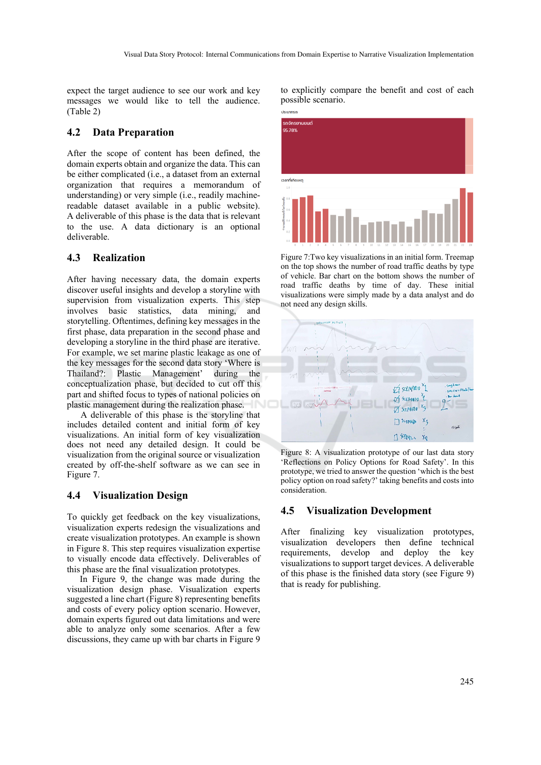expect the target audience to see our work and key messages we would like to tell the audience. (Table 2)

#### **4.2 Data Preparation**

After the scope of content has been defined, the domain experts obtain and organize the data. This can be either complicated (i.e., a dataset from an external organization that requires a memorandum of understanding) or very simple (i.e., readily machinereadable dataset available in a public website). A deliverable of this phase is the data that is relevant to the use. A data dictionary is an optional deliverable.

## **4.3 Realization**

After having necessary data, the domain experts discover useful insights and develop a storyline with supervision from visualization experts. This step involves basic statistics, data mining, and storytelling. Oftentimes, defining key messages in the first phase, data preparation in the second phase and developing a storyline in the third phase are iterative. For example, we set marine plastic leakage as one of the key messages for the second data story 'Where is Thailand?: Plastic Management' during the conceptualization phase, but decided to cut off this part and shifted focus to types of national policies on plastic management during the realization phase.

A deliverable of this phase is the storyline that includes detailed content and initial form of key visualizations. An initial form of key visualization does not need any detailed design. It could be visualization from the original source or visualization created by off-the-shelf software as we can see in Figure 7.

## **4.4 Visualization Design**

To quickly get feedback on the key visualizations, visualization experts redesign the visualizations and create visualization prototypes. An example is shown in Figure 8. This step requires visualization expertise to visually encode data effectively. Deliverables of this phase are the final visualization prototypes.

In Figure 9, the change was made during the visualization design phase. Visualization experts suggested a line chart (Figure 8) representing benefits and costs of every policy option scenario. However, domain experts figured out data limitations and were able to analyze only some scenarios. After a few discussions, they came up with bar charts in Figure 9

to explicitly compare the benefit and cost of each possible scenario.



Figure 7:Two key visualizations in an initial form. Treemap on the top shows the number of road traffic deaths by type of vehicle. Bar chart on the bottom shows the number of road traffic deaths by time of day. These initial visualizations were simply made by a data analyst and do not need any design skills.



Figure 8: A visualization prototype of our last data story 'Reflections on Policy Options for Road Safety'. In this prototype, we tried to answer the question 'which is the best policy option on road safety?' taking benefits and costs into consideration.

## **4.5 Visualization Development**

After finalizing key visualization prototypes, visualization developers then define technical requirements, develop and deploy the key visualizations to support target devices. A deliverable of this phase is the finished data story (see Figure 9) that is ready for publishing.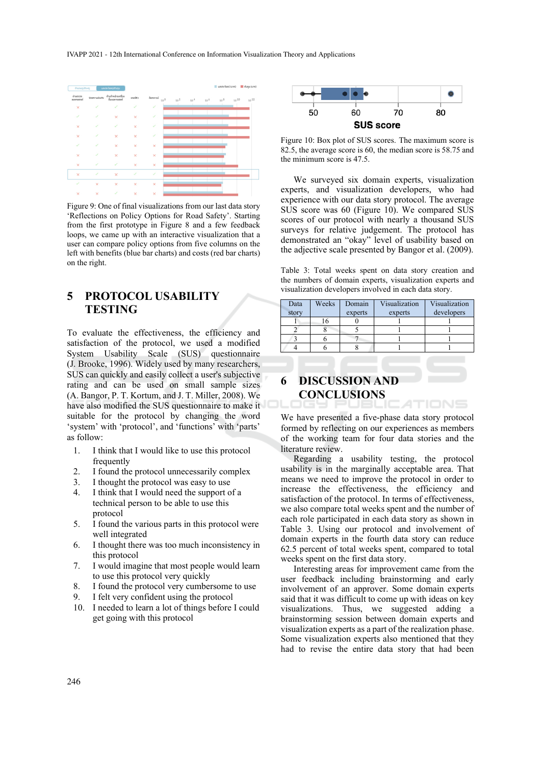

Figure 9: One of final visualizations from our last data story 'Reflections on Policy Options for Road Safety'. Starting from the first prototype in Figure 8 and a few feedback loops, we came up with an interactive visualization that a user can compare policy options from five columns on the left with benefits (blue bar charts) and costs (red bar charts) on the right.

## **5 PROTOCOL USABILITY TESTING**

To evaluate the effectiveness, the efficiency and satisfaction of the protocol, we used a modified System Usability Scale (SUS) questionnaire (J. Brooke, 1996). Widely used by many researchers, SUS can quickly and easily collect a user's subjective rating and can be used on small sample sizes (A. Bangor, P. T. Kortum, and J. T. Miller, 2008). We have also modified the SUS questionnaire to make it suitable for the protocol by changing the word 'system' with 'protocol', and 'functions' with 'parts' as follow:

- 1. I think that I would like to use this protocol frequently
- 2. I found the protocol unnecessarily complex
- 3. I thought the protocol was easy to use
- 4. I think that I would need the support of a technical person to be able to use this protocol
- 5. I found the various parts in this protocol were well integrated
- 6. I thought there was too much inconsistency in this protocol
- 7. I would imagine that most people would learn to use this protocol very quickly
- 8. I found the protocol very cumbersome to use
- 9. I felt very confident using the protocol
- 10. I needed to learn a lot of things before I could get going with this protocol



Figure 10: Box plot of SUS scores. The maximum score is 82.5, the average score is 60, the median score is 58.75 and the minimum score is 47.5.

We surveyed six domain experts, visualization experts, and visualization developers, who had experience with our data story protocol. The average SUS score was 60 (Figure 10). We compared SUS scores of our protocol with nearly a thousand SUS surveys for relative judgement. The protocol has demonstrated an "okay" level of usability based on the adjective scale presented by Bangor et al. (2009).

Table 3: Total weeks spent on data story creation and the numbers of domain experts, visualization experts and visualization developers involved in each data story.

| Data<br>story | Weeks | Domain<br>experts | Visualization<br>experts | Visualization<br>developers |
|---------------|-------|-------------------|--------------------------|-----------------------------|
|               | 16    |                   |                          |                             |
|               |       |                   |                          |                             |
|               |       |                   |                          |                             |
|               |       |                   |                          |                             |

# **6 DISCUSSION AND CONCLUSIONS**

We have presented a five-phase data story protocol formed by reflecting on our experiences as members of the working team for four data stories and the literature review.

Regarding a usability testing, the protocol usability is in the marginally acceptable area. That means we need to improve the protocol in order to increase the effectiveness, the efficiency and satisfaction of the protocol. In terms of effectiveness, we also compare total weeks spent and the number of each role participated in each data story as shown in Table 3. Using our protocol and involvement of domain experts in the fourth data story can reduce 62.5 percent of total weeks spent, compared to total weeks spent on the first data story.

Interesting areas for improvement came from the user feedback including brainstorming and early involvement of an approver. Some domain experts said that it was difficult to come up with ideas on key visualizations. Thus, we suggested adding a brainstorming session between domain experts and visualization experts as a part of the realization phase. Some visualization experts also mentioned that they had to revise the entire data story that had been